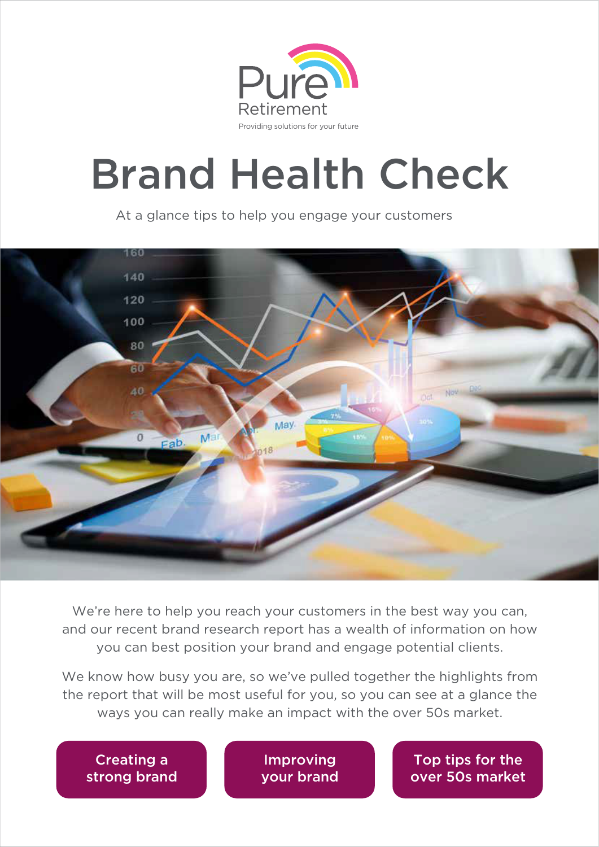

# Brand Health Check

At a glance tips to help you engage your customers



We're here to help you reach your customers in the best way you can, and our recent brand research report has a wealth of information on how you can best position your brand and engage potential clients.

We know how busy you are, so we've pulled together the highlights from the report that will be most useful for you, so you can see at a glance the ways you can really make an impact with the over 50s market.

Creating a strong brand

Improving your brand

Top tips for the over 50s market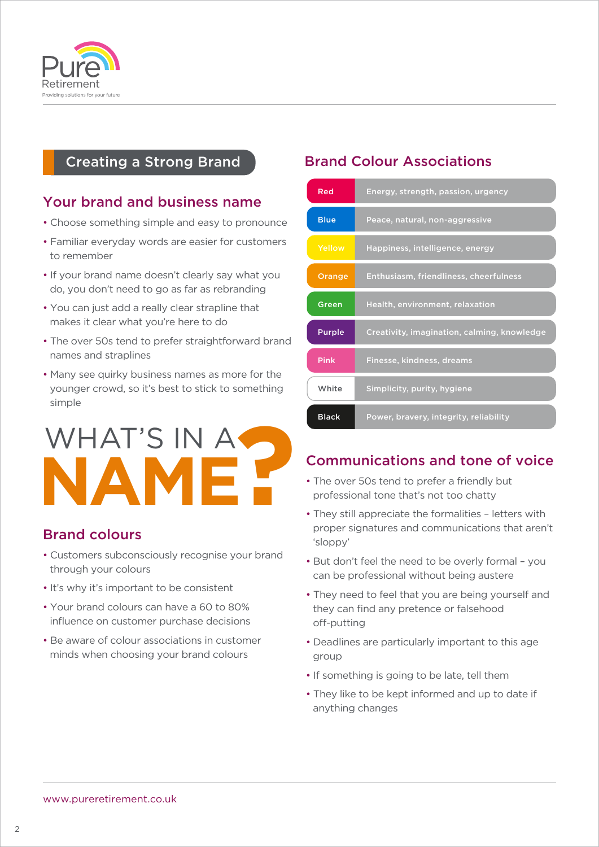

# Creating a Strong Brand

# Your brand and business name

- Choose something simple and easy to pronounce
- Familiar everyday words are easier for customers to remember
- If your brand name doesn't clearly say what you do, you don't need to go as far as rebranding
- You can just add a really clear strapline that makes it clear what you're here to do
- The over 50s tend to prefer straightforward brand names and straplines
- Many see quirky business names as more for the younger crowd, so it's best to stick to something simple

# WHAT'S IN A **NAME?**

# Brand colours

- Customers subconsciously recognise your brand through your colours
- It's why it's important to be consistent
- Your brand colours can have a 60 to 80% influence on customer purchase decisions
- Be aware of colour associations in customer minds when choosing your brand colours

# Brand Colour Associations

| Red           | Energy, strength, passion, urgency          |
|---------------|---------------------------------------------|
| <b>Blue</b>   | Peace, natural, non-aggressive              |
| Yellow        | Happiness, intelligence, energy             |
| Orange        | Enthusiasm, friendliness, cheerfulness      |
| Green         | Health, environment, relaxation             |
| <b>Purple</b> | Creativity, imagination, calming, knowledge |
| <b>Pink</b>   | Finesse, kindness, dreams                   |
| White         | Simplicity, purity, hygiene                 |
| <b>Black</b>  | Power, bravery, integrity, reliability      |

# Communications and tone of voice

- The over 50s tend to prefer a friendly but professional tone that's not too chatty
- They still appreciate the formalities letters with proper signatures and communications that aren't 'sloppy'
- But don't feel the need to be overly formal you can be professional without being austere
- They need to feel that you are being yourself and they can find any pretence or falsehood off-putting
- Deadlines are particularly important to this age group
- If something is going to be late, tell them
- They like to be kept informed and up to date if anything changes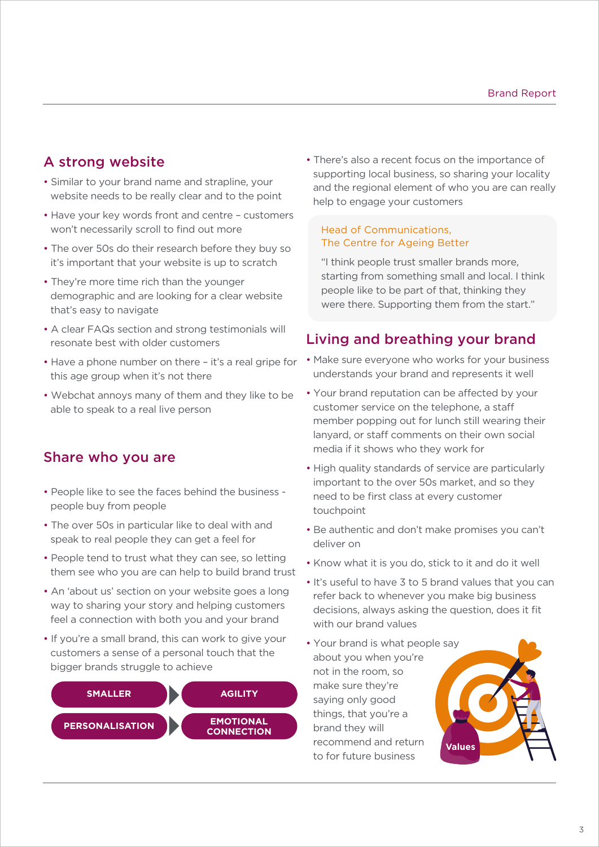# A strong website

- Similar to your brand name and strapline, your website needs to be really clear and to the point
- Have your key words front and centre customers won't necessarily scroll to find out more
- The over 50s do their research before they buy so it's important that your website is up to scratch
- They're more time rich than the younger demographic and are looking for a clear website that's easy to navigate
- A clear FAQs section and strong testimonials will resonate best with older customers
- Have a phone number on there it's a real gripe for this age group when it's not there
- Webchat annoys many of them and they like to be able to speak to a real live person

## Share who you are

- People like to see the faces behind the business people buy from people
- The over 50s in particular like to deal with and speak to real people they can get a feel for
- People tend to trust what they can see, so letting them see who you are can help to build brand trust
- An 'about us' section on your website goes a long way to sharing your story and helping customers feel a connection with both you and your brand
- If you're a small brand, this can work to give your customers a sense of a personal touch that the bigger brands struggle to achieve



• There's also a recent focus on the importance of supporting local business, so sharing your locality and the regional element of who you are can really help to engage your customers

#### Head of Communications, The Centre for Ageing Better

"I think people trust smaller brands more, starting from something small and local. I think people like to be part of that, thinking they were there. Supporting them from the start."

# Living and breathing your brand

- Make sure everyone who works for your business understands your brand and represents it well
- Your brand reputation can be affected by your customer service on the telephone, a sta member popping out for lunch still wearing their lanyard, or staff comments on their own social media if it shows who they work for
- High quality standards of service are particularly important to the over 50s market, and so they need to be first class at every customer touchpoint
- Be authentic and don't make promises you can't deliver on
- Know what it is you do, stick to it and do it well
- It's useful to have 3 to 5 brand values that you can refer back to whenever you make big business decisions, always asking the question, does it fit with our brand values
- Your brand is what people say about you when you're not in the room, so make sure they're saying only good things, that you're a brand they will recommend and return to for future business **Values**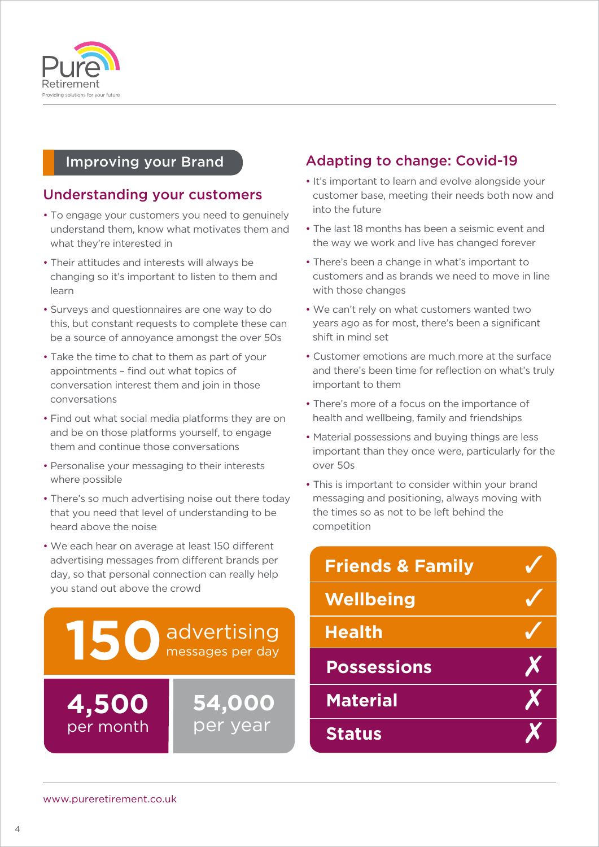

# Improving your Brand

# Understanding your customers

- To engage your customers you need to genuinely understand them, know what motivates them and what they're interested in
- Their attitudes and interests will always be changing so it's important to listen to them and learn
- Surveys and questionnaires are one way to do this, but constant requests to complete these can be a source of annoyance amongst the over 50s
- Take the time to chat to them as part of your appointments – find out what topics of conversation interest them and join in those conversations
- Find out what social media platforms they are on and be on those platforms yourself, to engage them and continue those conversations
- Personalise your messaging to their interests where possible
- There's so much advertising noise out there today that you need that level of understanding to be heard above the noise
- We each hear on average at least 150 different advertising messages from different brands per day, so that personal connection can really help you stand out above the crowd



# Adapting to change: Covid-19

- It's important to learn and evolve alongside your customer base, meeting their needs both now and into the future
- The last 18 months has been a seismic event and the way we work and live has changed forever
- There's been a change in what's important to customers and as brands we need to move in line with those changes
- We can't rely on what customers wanted two years ago as for most, there's been a significant shift in mind set
- Customer emotions are much more at the surface and there's been time for reflection on what's truly important to them
- There's more of a focus on the importance of health and wellbeing, family and friendships
- Material possessions and buying things are less important than they once were, particularly for the over 50s
- This is important to consider within your brand messaging and positioning, always moving with the times so as not to be left behind the competition

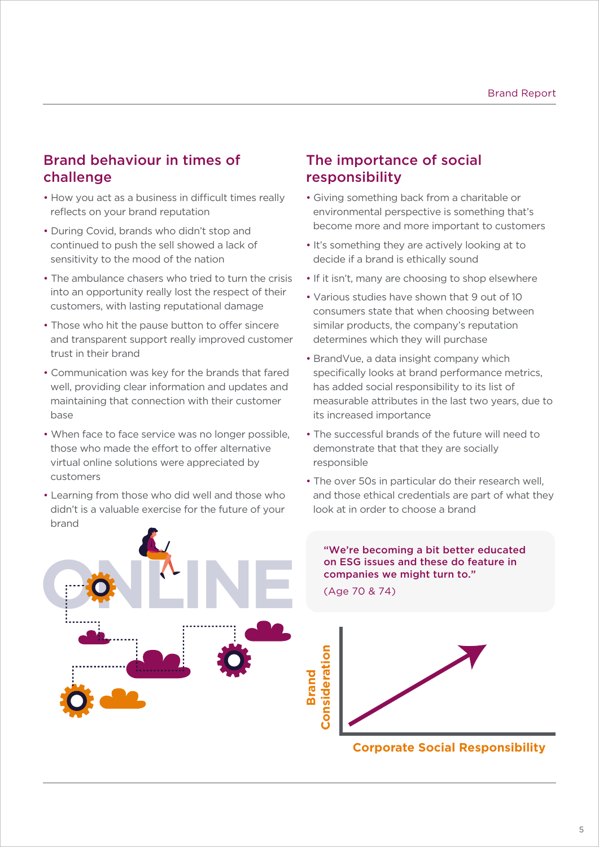# Brand behaviour in times of challenge

- How you act as a business in difficult times really reflects on your brand reputation
- During Covid, brands who didn't stop and continued to push the sell showed a lack of sensitivity to the mood of the nation
- The ambulance chasers who tried to turn the crisis into an opportunity really lost the respect of their customers, with lasting reputational damage
- Those who hit the pause button to offer sincere and transparent support really improved customer trust in their brand
- Communication was key for the brands that fared well, providing clear information and updates and maintaining that connection with their customer base
- When face to face service was no longer possible, those who made the effort to offer alternative virtual online solutions were appreciated by customers
- Learning from those who did well and those who didn't is a valuable exercise for the future of your brand

**OCLINE** 

# The importance of social responsibility

- Giving something back from a charitable or environmental perspective is something that's become more and more important to customers
- It's something they are actively looking at to decide if a brand is ethically sound
- If it isn't, many are choosing to shop elsewhere
- Various studies have shown that 9 out of 10 consumers state that when choosing between similar products, the company's reputation determines which they will purchase
- BrandVue, a data insight company which specifically looks at brand performance metrics, has added social responsibility to its list of measurable attributes in the last two years, due to its increased importance
- The successful brands of the future will need to demonstrate that that they are socially responsible
- The over 50s in particular do their research well, and those ethical credentials are part of what they look at in order to choose a brand

#### "We're becoming a bit better educated on ESG issues and these do feature in companies we might turn to."

(Age 70 & 74)



**Corporate Social Responsibility**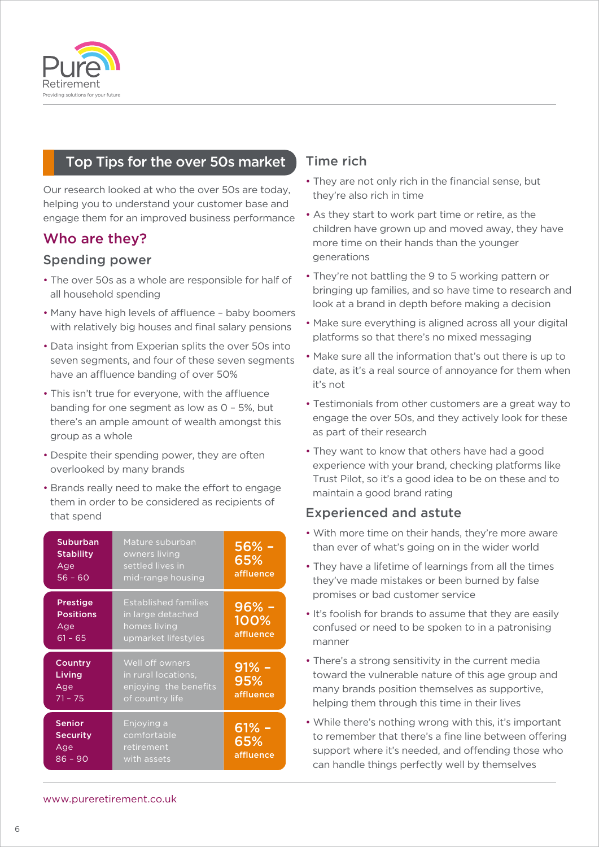

# Top Tips for the over 50s market

Our research looked at who the over 50s are today, helping you to understand your customer base and engage them for an improved business performance

# Who are they?

#### Spending power

- The over 50s as a whole are responsible for half of all household spending
- Many have high levels of affluence baby boomers with relatively big houses and final salary pensions
- Data insight from Experian splits the over 50s into seven segments, and four of these seven segments have an affluence banding of over 50%
- This isn't true for everyone, with the affluence banding for one segment as low as 0 – 5%, but there's an ample amount of wealth amongst this group as a whole
- Despite their spending power, they are often overlooked by many brands
- Brands really need to make the effort to engage them in order to be considered as recipients of that spend

| <b>Suburban</b><br><b>Stability</b><br>Age<br>$56 - 60$ | Mature suburban<br>owners living<br>settled lives in<br>mid-range housing               | $56% -$<br>65%<br>affluence  |
|---------------------------------------------------------|-----------------------------------------------------------------------------------------|------------------------------|
| <b>Prestige</b><br><b>Positions</b><br>Age<br>$61 - 65$ | <b>Established families</b><br>in large detached<br>homes living<br>upmarket lifestyles | $96% -$<br>100%<br>affluence |
| Country<br>Living<br>Age<br>$71 - 75$                   | Well off owners<br>in rural locations,<br>enjoying the benefits<br>of country life      | $91% -$<br>95%<br>affluence  |
| <b>Senior</b><br><b>Security</b><br>Age<br>$86 - 90$    | Enjoying a<br>comfortable<br>retirement<br>with assets                                  | $61\% -$<br>65%<br>affluence |

### Time rich

- They are not only rich in the financial sense, but they're also rich in time
- As they start to work part time or retire, as the children have grown up and moved away, they have more time on their hands than the younger generations
- They're not battling the 9 to 5 working pattern or bringing up families, and so have time to research and look at a brand in depth before making a decision
- Make sure everything is aligned across all your digital platforms so that there's no mixed messaging
- Make sure all the information that's out there is up to date, as it's a real source of annoyance for them when it's not
- Testimonials from other customers are a great way to engage the over 50s, and they actively look for these as part of their research
- They want to know that others have had a good experience with your brand, checking platforms like Trust Pilot, so it's a good idea to be on these and to maintain a good brand rating

#### Experienced and astute

- With more time on their hands, they're more aware than ever of what's going on in the wider world
- They have a lifetime of learnings from all the times they've made mistakes or been burned by false promises or bad customer service
- It's foolish for brands to assume that they are easily confused or need to be spoken to in a patronising manner
- There's a strong sensitivity in the current media toward the vulnerable nature of this age group and many brands position themselves as supportive, helping them through this time in their lives
- While there's nothing wrong with this, it's important to remember that there's a fine line between offering support where it's needed, and offending those who can handle things perfectly well by themselves

www.pureretirement.co.uk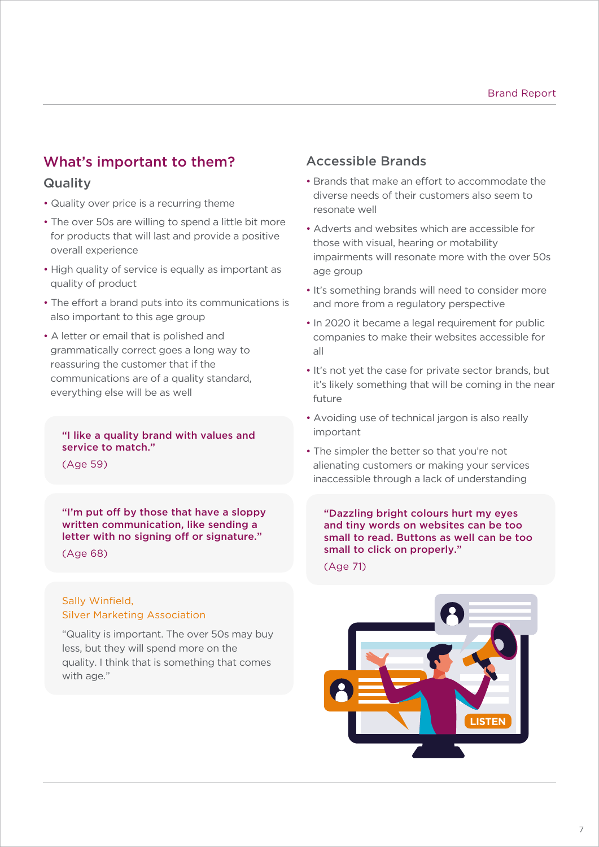# What's important to them?

#### **Quality**

- Quality over price is a recurring theme
- The over 50s are willing to spend a little bit more for products that will last and provide a positive overall experience
- High quality of service is equally as important as quality of product
- The effort a brand puts into its communications is also important to this age group
- A letter or email that is polished and grammatically correct goes a long way to reassuring the customer that if the communications are of a quality standard, everything else will be as well

#### "I like a quality brand with values and service to match."

(Age 59)

"I'm put off by those that have a sloppy written communication, like sending a letter with no signing off or signature."

#### (Age 68)

#### Sally Winfield, Silver Marketing Association

"Quality is important. The over 50s may buy less, but they will spend more on the quality. I think that is something that comes with age."

#### Accessible Brands

- Brands that make an effort to accommodate the diverse needs of their customers also seem to resonate well
- Adverts and websites which are accessible for those with visual, hearing or motability impairments will resonate more with the over 50s age group
- It's something brands will need to consider more and more from a regulatory perspective
- In 2020 it became a legal requirement for public companies to make their websites accessible for all
- It's not yet the case for private sector brands, but it's likely something that will be coming in the near future
- Avoiding use of technical jargon is also really important
- The simpler the better so that you're not alienating customers or making your services inaccessible through a lack of understanding

"Dazzling bright colours hurt my eyes and tiny words on websites can be too small to read. Buttons as well can be too small to click on properly."

(Age 71)

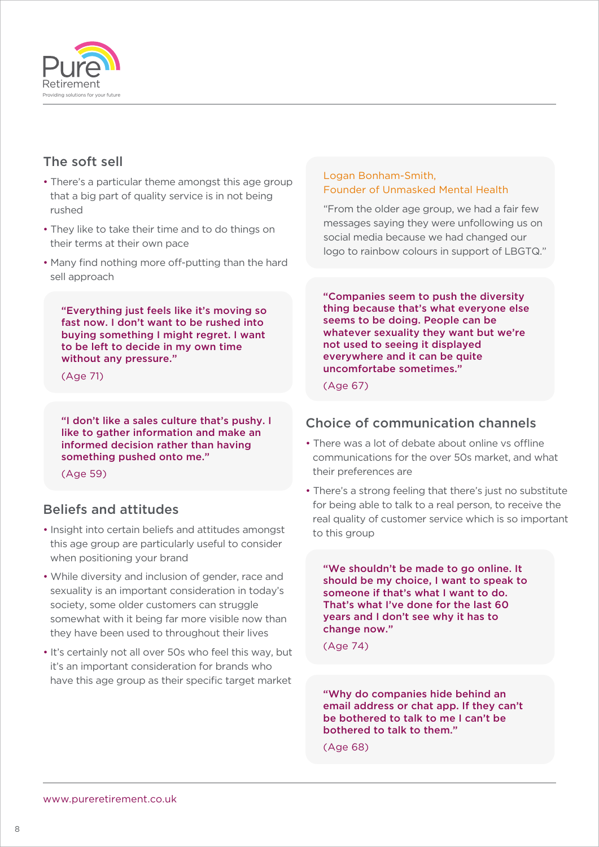

# The soft sell

- There's a particular theme amongst this age group that a big part of quality service is in not being rushed
- They like to take their time and to do things on their terms at their own pace
- Many find nothing more off-putting than the hard sell approach

"Everything just feels like it's moving so fast now. I don't want to be rushed into buying something I might regret. I want to be left to decide in my own time without any pressure."

(Age 71)

"I don't like a sales culture that's pushy. I like to gather information and make an informed decision rather than having something pushed onto me."

(Age 59)

### Beliefs and attitudes

- Insight into certain beliefs and attitudes amongst this age group are particularly useful to consider when positioning your brand
- While diversity and inclusion of gender, race and sexuality is an important consideration in today's society, some older customers can struggle somewhat with it being far more visible now than they have been used to throughout their lives
- It's certainly not all over 50s who feel this way, but it's an important consideration for brands who have this age group as their specific target market

#### Logan Bonham-Smith, Founder of Unmasked Mental Health

"From the older age group, we had a fair few messages saying they were unfollowing us on social media because we had changed our logo to rainbow colours in support of LBGTQ."

"Companies seem to push the diversity thing because that's what everyone else seems to be doing. People can be whatever sexuality they want but we're not used to seeing it displayed everywhere and it can be quite uncomfortabe sometimes."

(Age 67)

### Choice of communication channels

- There was a lot of debate about online vs offline communications for the over 50s market, and what their preferences are
- There's a strong feeling that there's just no substitute for being able to talk to a real person, to receive the real quality of customer service which is so important to this group

"We shouldn't be made to go online. It should be my choice, I want to speak to someone if that's what I want to do. That's what I've done for the last 60 years and I don't see why it has to change now."

(Age 74)

"Why do companies hide behind an email address or chat app. If they can't be bothered to talk to me I can't be bothered to talk to them."

(Age 68)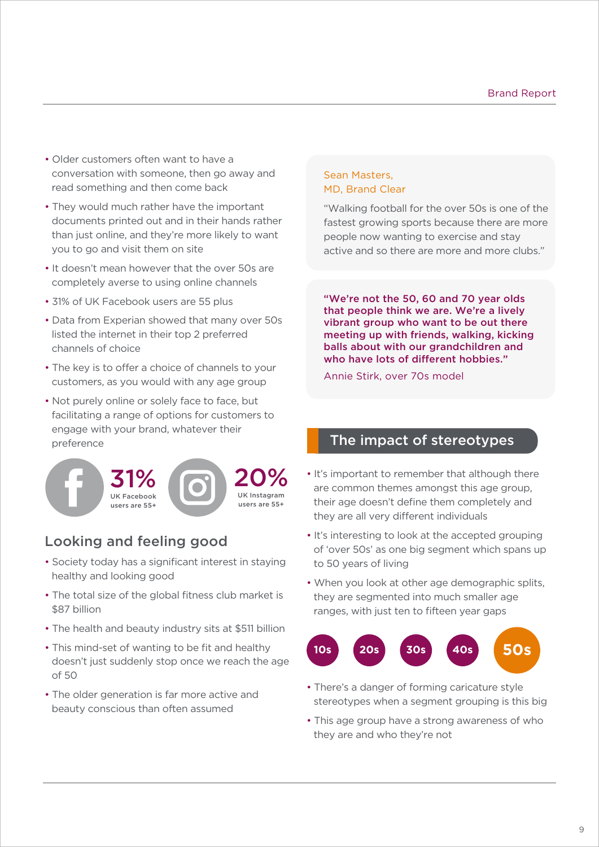- Older customers often want to have a conversation with someone, then go away and read something and then come back
- They would much rather have the important documents printed out and in their hands rather than just online, and they're more likely to want you to go and visit them on site
- It doesn't mean however that the over 50s are completely averse to using online channels
- 31% of UK Facebook users are 55 plus
- Data from Experian showed that many over 50s listed the internet in their top 2 preferred channels of choice
- The key is to offer a choice of channels to your customers, as you would with any age group
- Not purely online or solely face to face, but facilitating a range of options for customers to engage with your brand, whatever their preference



# Looking and feeling good

- Society today has a significant interest in staying healthy and looking good
- The total size of the global fitness club market is \$87 billion
- The health and beauty industry sits at \$511 billion
- This mind-set of wanting to be fit and healthy doesn't just suddenly stop once we reach the age of 50
- The older generation is far more active and beauty conscious than often assumed

#### Sean Masters, MD, Brand Clear

"Walking football for the over 50s is one of the fastest growing sports because there are more people now wanting to exercise and stay active and so there are more and more clubs."

"We're not the 50, 60 and 70 year olds that people think we are. We're a lively vibrant group who want to be out there meeting up with friends, walking, kicking balls about with our grandchildren and who have lots of different hobbies."

Annie Stirk, over 70s model

### The impact of stereotypes

- It's important to remember that although there are common themes amongst this age group, their age doesn't define them completely and they are all very different individuals
- It's interesting to look at the accepted grouping of 'over 50s' as one big segment which spans up to 50 years of living
- When you look at other age demographic splits, they are segmented into much smaller age ranges, with just ten to fifteen year gaps



- There's a danger of forming caricature style stereotypes when a segment grouping is this big
- This age group have a strong awareness of who they are and who they're not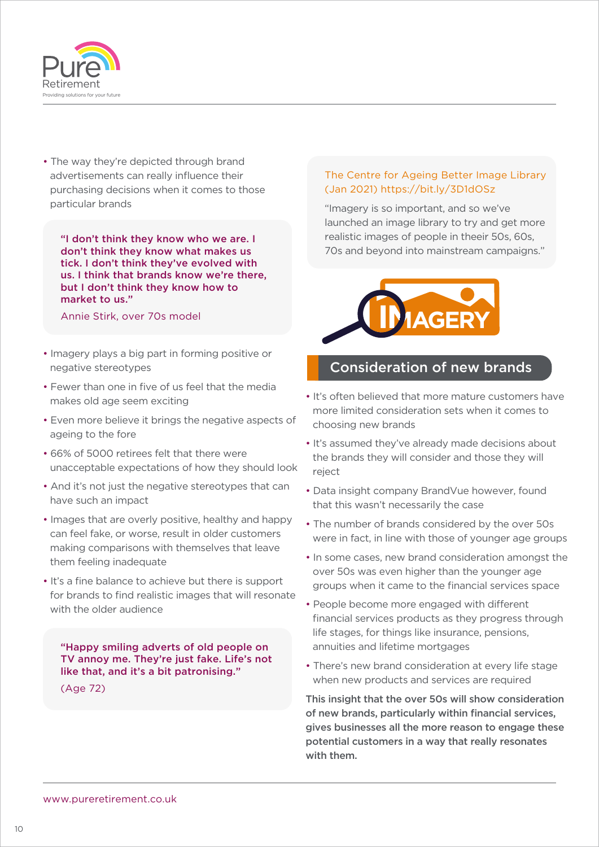

• The way they're depicted through brand advertisements can really influence their purchasing decisions when it comes to those particular brands

"I don't think they know who we are. I don't think they know what makes us tick. I don't think they've evolved with us. I think that brands know we're there, but I don't think they know how to market to us."

Annie Stirk, over 70s model

- Imagery plays a big part in forming positive or negative stereotypes
- Fewer than one in five of us feel that the media makes old age seem exciting
- Even more believe it brings the negative aspects of ageing to the fore
- 66% of 5000 retirees felt that there were unacceptable expectations of how they should look
- And it's not just the negative stereotypes that can have such an impact
- Images that are overly positive, healthy and happy can feel fake, or worse, result in older customers making comparisons with themselves that leave them feeling inadequate
- It's a fine balance to achieve but there is support for brands to find realistic images that will resonate with the older audience

"Happy smiling adverts of old people on TV annoy me. They're just fake. Life's not like that, and it's a bit patronising."

(Age 72)

#### The Centre for Ageing Better Image Library (Jan 2021) https://bit.ly/3D1dOSz

"Imagery is so important, and so we've launched an image library to try and get more realistic images of people in theeir 50s, 60s, 70s and beyond into mainstream campaigns."



#### Consideration of new brands

- It's often believed that more mature customers have more limited consideration sets when it comes to choosing new brands
- It's assumed they've already made decisions about the brands they will consider and those they will reject
- Data insight company BrandVue however, found that this wasn't necessarily the case
- The number of brands considered by the over 50s were in fact, in line with those of younger age groups
- In some cases, new brand consideration amongst the over 50s was even higher than the younger age groups when it came to the financial services space
- People become more engaged with different financial services products as they progress through life stages, for things like insurance, pensions, annuities and lifetime mortgages
- There's new brand consideration at every life stage when new products and services are required

This insight that the over 50s will show consideration of new brands, particularly within financial services, gives businesses all the more reason to engage these potential customers in a way that really resonates with them.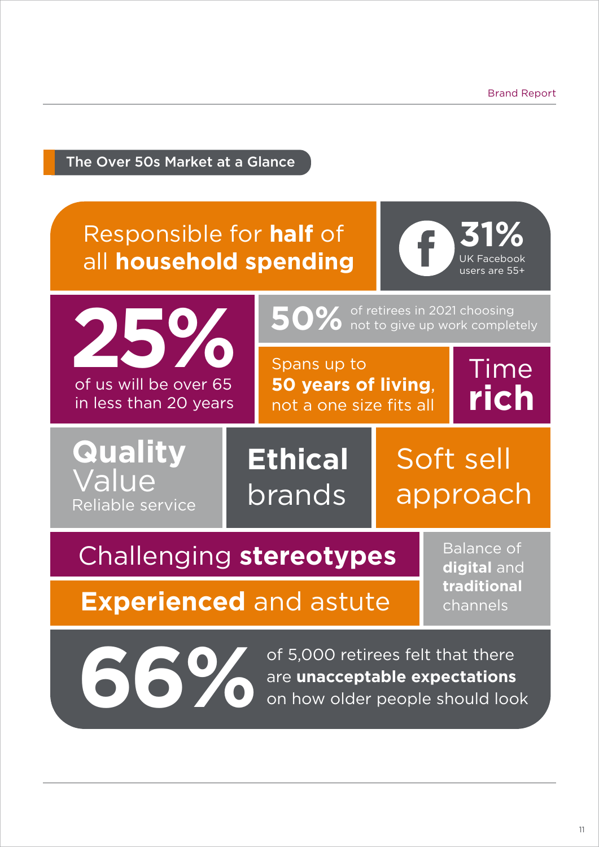**31%**

UK Facebook users are 55+

Time

**rich**

# The Over 50s Market at a Glance

# Responsible for **half** of all **household spending**



Spans up to **50 years of living**, not a one size fits all

**50%** of retirees in 2021 choosing<br>**50%** not to give up work completely

**Quality** Value Reliable service

**Ethical** brands

# Soft sell approach

# Challenging **stereotypes**

Balance of **digital** and **traditional** channels

# **Experienced** and astute

of 5,000 retirees felt that there are **unacceptable expectations**<br>
on how older people should look